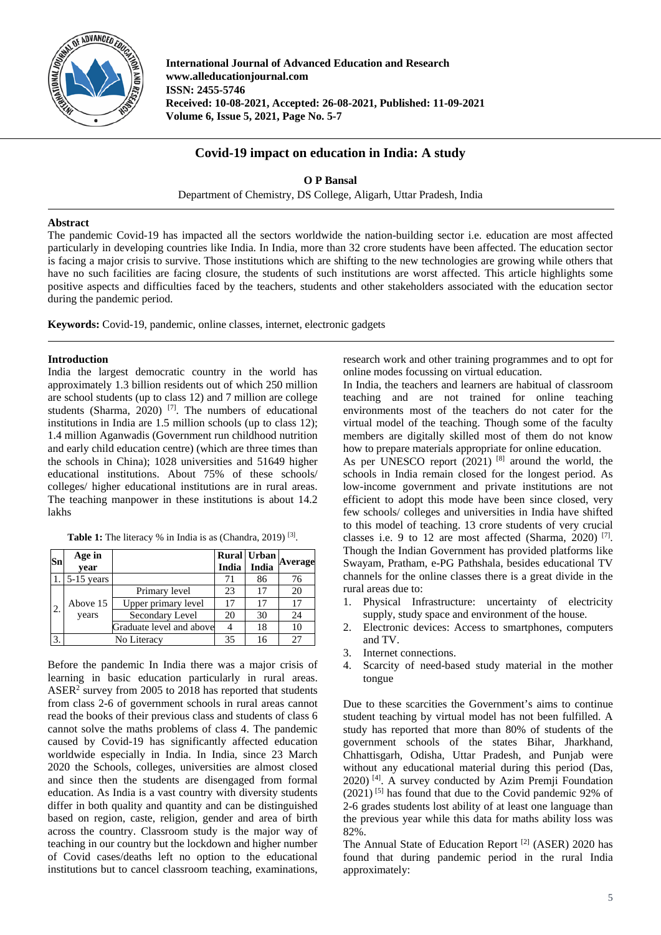

**International Journal of Advanced Education and Research www.alleducationjournal.com ISSN: 2455-5746 Received: 10-08-2021, Accepted: 26-08-2021, Published: 11-09-2021 Volume 6, Issue 5, 2021, Page No. 5-7**

# **Covid-19 impact on education in India: A study**

**O P Bansal**

Department of Chemistry, DS College, Aligarh, Uttar Pradesh, India

### **Abstract**

The pandemic Covid-19 has impacted all the sectors worldwide the nation-building sector i.e. education are most affected particularly in developing countries like India. In India, more than 32 crore students have been affected. The education sector is facing a major crisis to survive. Those institutions which are shifting to the new technologies are growing while others that have no such facilities are facing closure, the students of such institutions are worst affected. This article highlights some positive aspects and difficulties faced by the teachers, students and other stakeholders associated with the education sector during the pandemic period.

**Keywords:** Covid-19, pandemic, online classes, internet, electronic gadgets

### **Introduction**

India the largest democratic country in the world has approximately 1.3 billion residents out of which 250 million are school students (up to class 12) and 7 million are college students (Sharma, 2020)<sup>[7]</sup>. The numbers of educational institutions in India are 1.5 million schools (up to class 12); 1.4 million Aganwadis (Government run childhood nutrition and early child education centre) (which are three times than the schools in China); 1028 universities and 51649 higher educational institutions. About 75% of these schools/ colleges/ higher educational institutions are in rural areas. The teaching manpower in these institutions is about 14.2 lakhs

| Sn | Age in<br>vear   |                          | India | Rural Urban<br>India | Average |
|----|------------------|--------------------------|-------|----------------------|---------|
|    | $1.5 - 15$ years |                          | 71    | 86                   | 76      |
| 2. | Above 15         | Primary level            | 23    | 17                   | 20      |
|    |                  | Upper primary level      | 17    | 17                   | 17      |
|    | years            | Secondary Level          | 20    | 30                   | 24      |
|    |                  | Graduate level and above |       | 18                   | 10      |
| 3. | No Literacy      |                          | 35    | 16                   | 27      |

Table 1: The literacy % in India is as (Chandra, 2019)<sup>[3]</sup>.

Before the pandemic In India there was a major crisis of learning in basic education particularly in rural areas. ASER2 survey from 2005 to 2018 has reported that students from class 2-6 of government schools in rural areas cannot read the books of their previous class and students of class 6 cannot solve the maths problems of class 4. The pandemic caused by Covid-19 has significantly affected education worldwide especially in India. In India, since 23 March 2020 the Schools, colleges, universities are almost closed and since then the students are disengaged from formal education. As India is a vast country with diversity students differ in both quality and quantity and can be distinguished based on region, caste, religion, gender and area of birth across the country. Classroom study is the major way of teaching in our country but the lockdown and higher number of Covid cases/deaths left no option to the educational institutions but to cancel classroom teaching, examinations,

research work and other training programmes and to opt for online modes focussing on virtual education.

In India, the teachers and learners are habitual of classroom teaching and are not trained for online teaching environments most of the teachers do not cater for the virtual model of the teaching. Though some of the faculty members are digitally skilled most of them do not know how to prepare materials appropriate for online education.

As per UNESCO report  $(2021)$  [8] around the world, the schools in India remain closed for the longest period. As low-income government and private institutions are not efficient to adopt this mode have been since closed, very few schools/ colleges and universities in India have shifted to this model of teaching. 13 crore students of very crucial classes i.e. 9 to 12 are most affected (Sharma, 2020)<sup>[7]</sup>. Though the Indian Government has provided platforms like Swayam, Pratham, e-PG Pathshala, besides educational TV channels for the online classes there is a great divide in the rural areas due to:

- 1. Physical Infrastructure: uncertainty of electricity supply, study space and environment of the house.
- 2. Electronic devices: Access to smartphones, computers and TV.
- 3. Internet connections.
- 4. Scarcity of need-based study material in the mother tongue

Due to these scarcities the Government's aims to continue student teaching by virtual model has not been fulfilled. A study has reported that more than 80% of students of the government schools of the states Bihar, Jharkhand, Chhattisgarh, Odisha, Uttar Pradesh, and Punjab were without any educational material during this period (Das, 2020) [4] . A survey conducted by Azim Premji Foundation  $(2021)$ <sup>[5]</sup> has found that due to the Covid pandemic 92% of 2-6 grades students lost ability of at least one language than the previous year while this data for maths ability loss was 82%.

The Annual State of Education Report [2] (ASER) 2020 has found that during pandemic period in the rural India approximately: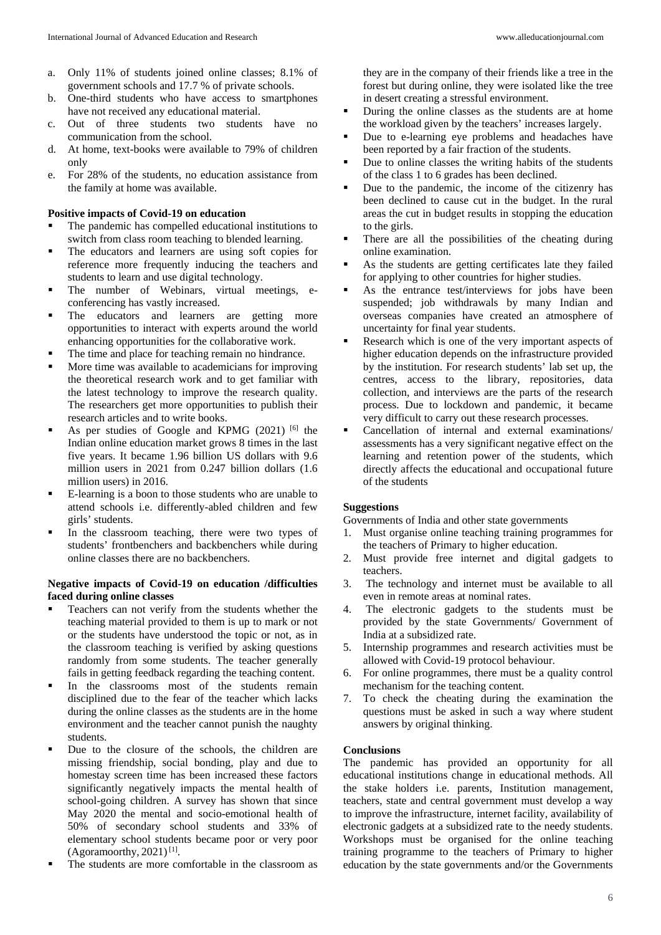- a. Only 11% of students joined online classes; 8.1% of government schools and 17.7 % of private schools.
- b. One-third students who have access to smartphones have not received any educational material.
- c. Out of three students two students have no communication from the school.
- d. At home, text-books were available to 79% of children only
- e. For 28% of the students, no education assistance from the family at home was available.

#### **Positive impacts of Covid-19 on education**

- The pandemic has compelled educational institutions to switch from class room teaching to blended learning.
- The educators and learners are using soft copies for reference more frequently inducing the teachers and students to learn and use digital technology.
- The number of Webinars, virtual meetings, econferencing has vastly increased.
- The educators and learners are getting more opportunities to interact with experts around the world enhancing opportunities for the collaborative work.
- The time and place for teaching remain no hindrance.
- More time was available to academicians for improving the theoretical research work and to get familiar with the latest technology to improve the research quality. The researchers get more opportunities to publish their research articles and to write books.
- As per studies of Google and KPMG  $(2021)$  <sup>[6]</sup> the Indian online education market grows 8 times in the last five years. It became 1.96 billion US dollars with 9.6 million users in 2021 from 0.247 billion dollars (1.6 million users) in 2016.
- E-learning is a boon to those students who are unable to attend schools i.e. differently-abled children and few girls' students.
- In the classroom teaching, there were two types of students' frontbenchers and backbenchers while during online classes there are no backbenchers.

### **Negative impacts of Covid-19 on education /difficulties faced during online classes**

- Teachers can not verify from the students whether the teaching material provided to them is up to mark or not or the students have understood the topic or not, as in the classroom teaching is verified by asking questions randomly from some students. The teacher generally fails in getting feedback regarding the teaching content.
- In the classrooms most of the students remain disciplined due to the fear of the teacher which lacks during the online classes as the students are in the home environment and the teacher cannot punish the naughty students.
- Due to the closure of the schools, the children are missing friendship, social bonding, play and due to homestay screen time has been increased these factors significantly negatively impacts the mental health of school-going children. A survey has shown that since May 2020 the mental and socio-emotional health of 50% of secondary school students and 33% of elementary school students became poor or very poor (Agoramoorthy, 2021)<sup>[1]</sup>.
- The students are more comfortable in the classroom as

they are in the company of their friends like a tree in the forest but during online, they were isolated like the tree in desert creating a stressful environment.

- During the online classes as the students are at home the workload given by the teachers' increases largely.
- Due to e-learning eye problems and headaches have been reported by a fair fraction of the students.
- Due to online classes the writing habits of the students of the class 1 to 6 grades has been declined.
- Due to the pandemic, the income of the citizenry has been declined to cause cut in the budget. In the rural areas the cut in budget results in stopping the education to the girls.
- There are all the possibilities of the cheating during online examination.
- As the students are getting certificates late they failed for applying to other countries for higher studies.
- As the entrance test/interviews for jobs have been suspended; job withdrawals by many Indian and overseas companies have created an atmosphere of uncertainty for final year students.
- Research which is one of the very important aspects of higher education depends on the infrastructure provided by the institution. For research students' lab set up, the centres, access to the library, repositories, data collection, and interviews are the parts of the research process. Due to lockdown and pandemic, it became very difficult to carry out these research processes.
- Cancellation of internal and external examinations/ assessments has a very significant negative effect on the learning and retention power of the students, which directly affects the educational and occupational future of the students

## **Suggestions**

Governments of India and other state governments

- 1. Must organise online teaching training programmes for the teachers of Primary to higher education.
- 2. Must provide free internet and digital gadgets to teachers.
- 3. The technology and internet must be available to all even in remote areas at nominal rates.
- 4. The electronic gadgets to the students must be provided by the state Governments/ Government of India at a subsidized rate.
- 5. Internship programmes and research activities must be allowed with Covid-19 protocol behaviour.
- 6. For online programmes, there must be a quality control mechanism for the teaching content.
- 7. To check the cheating during the examination the questions must be asked in such a way where student answers by original thinking.

#### **Conclusions**

The pandemic has provided an opportunity for all educational institutions change in educational methods. All the stake holders i.e. parents, Institution management, teachers, state and central government must develop a way to improve the infrastructure, internet facility, availability of electronic gadgets at a subsidized rate to the needy students. Workshops must be organised for the online teaching training programme to the teachers of Primary to higher education by the state governments and/or the Governments